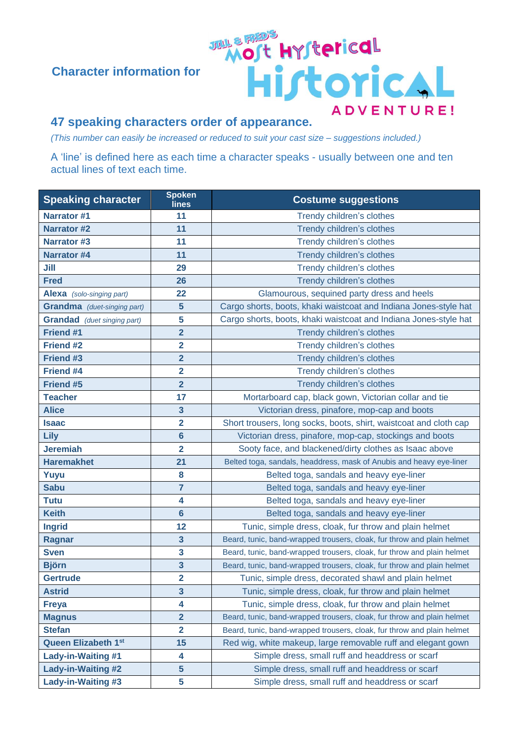## **Character information for**

## **47 speaking characters order of appearance.**

*(This number can easily be increased or reduced to suit your cast size – suggestions included.)*

A 'line' is defined here as each time a character speaks - usually between one and ten actual lines of text each time.

JALE RAD'S

Historical

ADVENTURE!

| <b>Speaking character</b>          | <b>Spoken</b><br>lines  | <b>Costume suggestions</b>                                             |
|------------------------------------|-------------------------|------------------------------------------------------------------------|
| <b>Narrator #1</b>                 | 11                      | Trendy children's clothes                                              |
| <b>Narrator #2</b>                 | 11                      | Trendy children's clothes                                              |
| <b>Narrator #3</b>                 | 11                      | Trendy children's clothes                                              |
| <b>Narrator #4</b>                 | 11                      | Trendy children's clothes                                              |
| Jill                               | 29                      | Trendy children's clothes                                              |
| <b>Fred</b>                        | 26                      | Trendy children's clothes                                              |
| Alexa (solo-singing part)          | 22                      | Glamourous, sequined party dress and heels                             |
| <b>Grandma</b> (duet-singing part) | $5\phantom{1}$          | Cargo shorts, boots, khaki waistcoat and Indiana Jones-style hat       |
| <b>Grandad</b> (duet singing part) | 5                       | Cargo shorts, boots, khaki waistcoat and Indiana Jones-style hat       |
| Friend #1                          | $\overline{\mathbf{2}}$ | Trendy children's clothes                                              |
| <b>Friend #2</b>                   | $\overline{2}$          | Trendy children's clothes                                              |
| <b>Friend #3</b>                   | $\overline{\mathbf{2}}$ | Trendy children's clothes                                              |
| <b>Friend #4</b>                   | $\overline{\mathbf{2}}$ | Trendy children's clothes                                              |
| <b>Friend #5</b>                   | $\overline{2}$          | Trendy children's clothes                                              |
| <b>Teacher</b>                     | 17                      | Mortarboard cap, black gown, Victorian collar and tie                  |
| <b>Alice</b>                       | $\overline{\mathbf{3}}$ | Victorian dress, pinafore, mop-cap and boots                           |
| <b>Isaac</b>                       | $\overline{\mathbf{2}}$ | Short trousers, long socks, boots, shirt, waistcoat and cloth cap      |
| Lily                               | $6\phantom{a}$          | Victorian dress, pinafore, mop-cap, stockings and boots                |
| <b>Jeremiah</b>                    | $\overline{\mathbf{2}}$ | Sooty face, and blackened/dirty clothes as Isaac above                 |
| <b>Haremakhet</b>                  | 21                      | Belted toga, sandals, headdress, mask of Anubis and heavy eye-liner    |
| Yuyu                               | 8                       | Belted toga, sandals and heavy eye-liner                               |
| <b>Sabu</b>                        | $\overline{7}$          | Belted toga, sandals and heavy eye-liner                               |
| <b>Tutu</b>                        | 4                       | Belted toga, sandals and heavy eye-liner                               |
| <b>Keith</b>                       | $6\phantom{1}$          | Belted toga, sandals and heavy eye-liner                               |
| <b>Ingrid</b>                      | 12                      | Tunic, simple dress, cloak, fur throw and plain helmet                 |
| Ragnar                             | $\mathbf{3}$            | Beard, tunic, band-wrapped trousers, cloak, fur throw and plain helmet |
| <b>Sven</b>                        | $\overline{\mathbf{3}}$ | Beard, tunic, band-wrapped trousers, cloak, fur throw and plain helmet |
| <b>Björn</b>                       | $\overline{\mathbf{3}}$ | Beard, tunic, band-wrapped trousers, cloak, fur throw and plain helmet |
| <b>Gertrude</b>                    | $\overline{\mathbf{2}}$ | Tunic, simple dress, decorated shawl and plain helmet                  |
| <b>Astrid</b>                      | $\mathbf{3}$            | Tunic, simple dress, cloak, fur throw and plain helmet                 |
| <b>Freya</b>                       | 4                       | Tunic, simple dress, cloak, fur throw and plain helmet                 |
| <b>Magnus</b>                      | $\overline{\mathbf{2}}$ | Beard, tunic, band-wrapped trousers, cloak, fur throw and plain helmet |
| <b>Stefan</b>                      | $\overline{\mathbf{2}}$ | Beard, tunic, band-wrapped trousers, cloak, fur throw and plain helmet |
| <b>Queen Elizabeth 1st</b>         | 15                      | Red wig, white makeup, large removable ruff and elegant gown           |
| <b>Lady-in-Waiting #1</b>          | 4                       | Simple dress, small ruff and headdress or scarf                        |
| <b>Lady-in-Waiting #2</b>          | $5\phantom{1}$          | Simple dress, small ruff and headdress or scarf                        |
| Lady-in-Waiting #3                 | 5                       | Simple dress, small ruff and headdress or scarf                        |